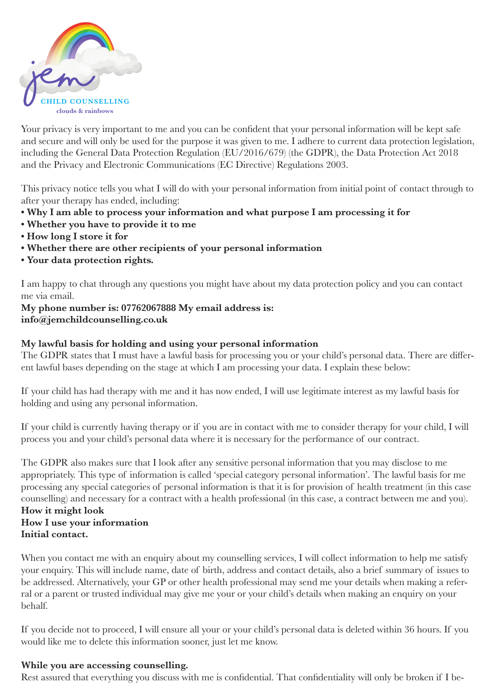

Your privacy is very important to me and you can be confident that your personal information will be kept safe and secure and will only be used for the purpose it was given to me. I adhere to current data protection legislation, including the General Data Protection Regulation (EU/2016/679) (the GDPR), the Data Protection Act 2018 and the Privacy and Electronic Communications (EC Directive) Regulations 2003.

This privacy notice tells you what I will do with your personal information from initial point of contact through to after your therapy has ended, including:

- **Why I am able to process your information and what purpose I am processing it for**
- **Whether you have to provide it to me**
- **How long I store it for**
- **Whether there are other recipients of your personal information**
- **Your data protection rights.**

I am happy to chat through any questions you might have about my data protection policy and you can contact me via email.

**My phone number is: 07762067888 My email address is: info@jemchildcounselling.co.uk**

## **My lawful basis for holding and using your personal information**

The GDPR states that I must have a lawful basis for processing you or your child's personal data. There are different lawful bases depending on the stage at which I am processing your data. I explain these below:

If your child has had therapy with me and it has now ended, I will use legitimate interest as my lawful basis for holding and using any personal information.

If your child is currently having therapy or if you are in contact with me to consider therapy for your child, I will process you and your child's personal data where it is necessary for the performance of our contract.

The GDPR also makes sure that I look after any sensitive personal information that you may disclose to me appropriately. This type of information is called 'special category personal information'. The lawful basis for me processing any special categories of personal information is that it is for provision of health treatment (in this case counselling) and necessary for a contract with a health professional (in this case, a contract between me and you). **How it might look**

# **How I use your information Initial contact.**

When you contact me with an enquiry about my counselling services, I will collect information to help me satisfy your enquiry. This will include name, date of birth, address and contact details, also a brief summary of issues to be addressed. Alternatively, your GP or other health professional may send me your details when making a referral or a parent or trusted individual may give me your or your child's details when making an enquiry on your behalf.

If you decide not to proceed, I will ensure all your or your child's personal data is deleted within 36 hours. If you would like me to delete this information sooner, just let me know.

## **While you are accessing counselling.**

Rest assured that everything you discuss with me is confidential. That confidentiality will only be broken if I be-